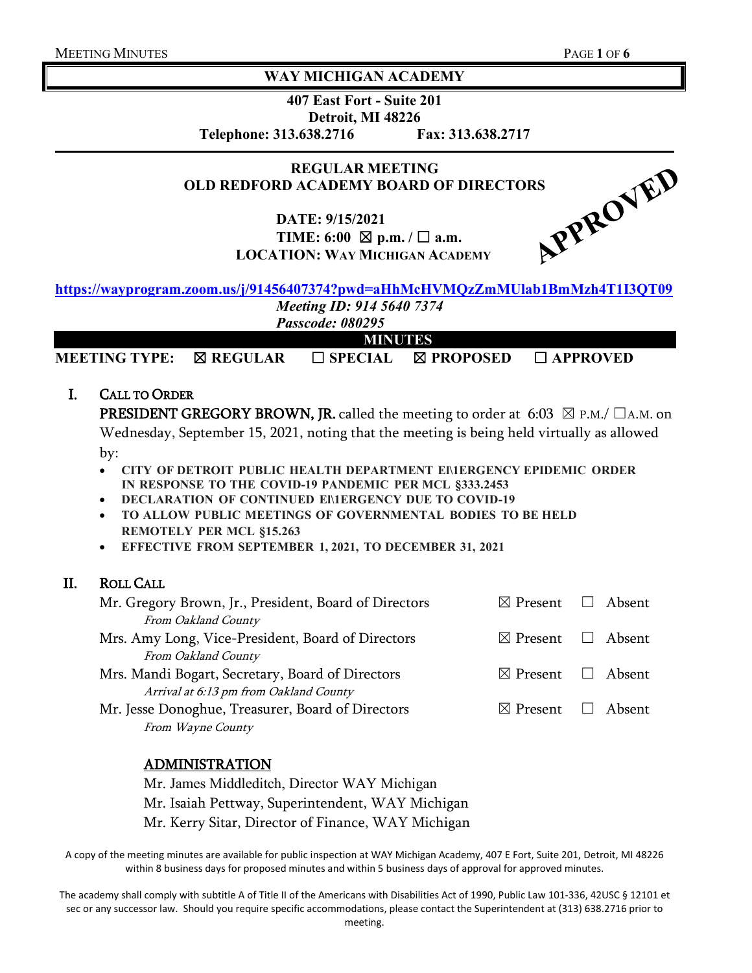## **WAY MICHIGAN ACADEMY**

**407 East Fort - Suite 201 Detroit, MI 48226 Telephone: 313.638.2716 Fax: 313.638.2717**

**REGULAR MEETING**

**DATE: 9/15/2021 TIME:** 6:00  $\boxtimes$  p.m. /  $\Box$  a.m. **LOCATION: WAY MICHIGAN ACADEMY**

**OLD REDFORD ACADEMY BOARD OF DIRECTORS**<br>DATE: 9/15/2021<br>TIME: 6:00 \B p.m /

**<https://wayprogram.zoom.us/j/91456407374?pwd=aHhMcHVMQzZmMUlab1BmMzh4T1I3QT09>** *Meeting ID: 914 5640 7374 Passcode: 080295* **MINUTES MEETING TYPE:** ☒ **REGULAR** ☐ **SPECIAL** ☒ **PROPOSED** ☐ **APPROVED**

#### I. CALL TO ORDER

**PRESIDENT GREGORY BROWN, JR.** called the meeting to order at 6:03  $\boxtimes$  P.M./  $\Box$ A.M. on Wednesday, September 15, 2021, noting that the meeting is being held virtually as allowed by:

- **CITY OF DETROIT PUBLIC HEALTH DEPARTMENT El\1ERGENCY EPIDEMIC ORDER IN RESPONSE TO THE COVID-19 PANDEMIC PER MCL §333.2453**
- **DECLARATION OF CONTINUED El\1ERGENCY DUE TO COVID-19**
- **TO ALLOW PUBLIC MEETINGS OF GOVERNMENTAL BODIES TO BE HELD REMOTELY PER MCL §15.263**
- **EFFECTIVE FROM SEPTEMBER 1, 2021, TO DECEMBER 31, 2021**

#### II. ROLL CALL

| Mr. Gregory Brown, Jr., President, Board of Directors |                                   | $\boxtimes$ Present $\Box$ Absent |
|-------------------------------------------------------|-----------------------------------|-----------------------------------|
| From Oakland County                                   |                                   |                                   |
| Mrs. Amy Long, Vice-President, Board of Directors     | $\boxtimes$ Present $\Box$ Absent |                                   |
| From Oakland County                                   |                                   |                                   |
| Mrs. Mandi Bogart, Secretary, Board of Directors      | $\boxtimes$ Present $\Box$ Absent |                                   |
| Arrival at 6:13 pm from Oakland County                |                                   |                                   |
| Mr. Jesse Donoghue, Treasurer, Board of Directors     | $\boxtimes$ Present $\Box$ Absent |                                   |
| From Wayne County                                     |                                   |                                   |
|                                                       |                                   |                                   |

#### ADMINISTRATION

Mr. James Middleditch, Director WAY Michigan

Mr. Isaiah Pettway, Superintendent, WAY Michigan

Mr. Kerry Sitar, Director of Finance, WAY Michigan

A copy of the meeting minutes are available for public inspection at WAY Michigan Academy, 407 E Fort, Suite 201, Detroit, MI 48226 within 8 business days for proposed minutes and within 5 business days of approval for approved minutes.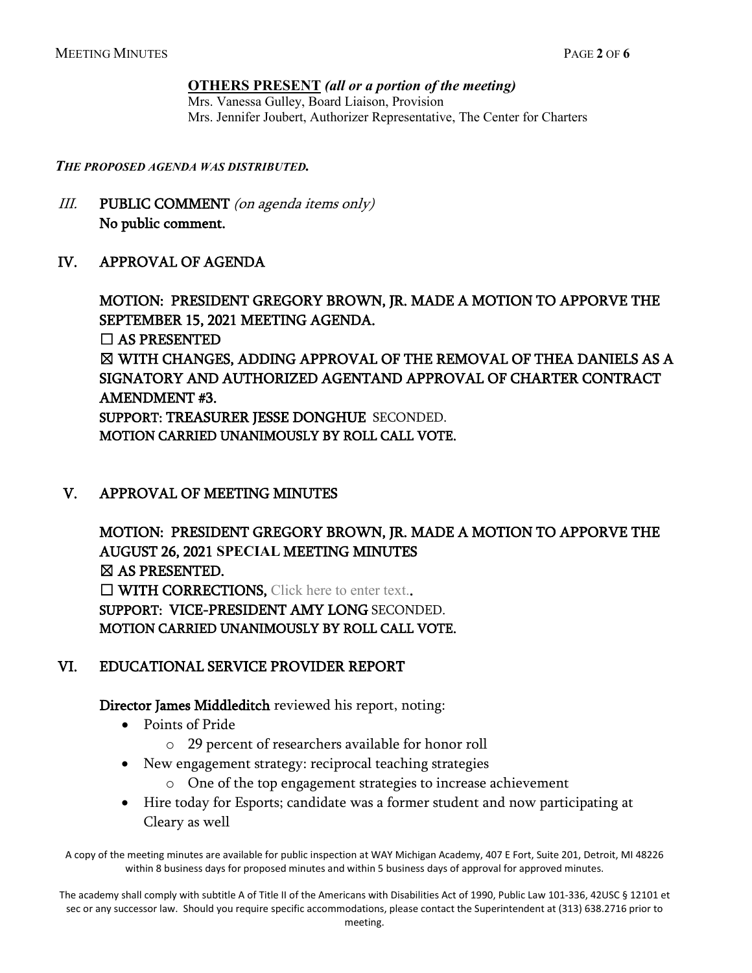#### **OTHERS PRESENT** *(all or a portion of the meeting)* Mrs. Vanessa Gulley, Board Liaison, Provision Mrs. Jennifer Joubert, Authorizer Representative, The Center for Charters

*THE PROPOSED AGENDA WAS DISTRIBUTED.*

III. PUBLIC COMMENT (on agenda items only) No public comment.

## IV. APPROVAL OF AGENDA

MOTION: PRESIDENT GREGORY BROWN, JR. MADE A MOTION TO APPORVE THE SEPTEMBER 15, 2021 MEETING AGENDA.  $\Box$  AS PRESENTED ☒ WITH CHANGES, ADDING APPROVAL OF THE REMOVAL OF THEA DANIELS AS A SIGNATORY AND AUTHORIZED AGENTAND APPROVAL OF CHARTER CONTRACT AMENDMENT #3. SUPPORT: TREASURER JESSE DONGHUE SECONDED. MOTION CARRIED UNANIMOUSLY BY ROLL CALL VOTE.

## V. APPROVAL OF MEETING MINUTES

MOTION: PRESIDENT GREGORY BROWN, JR. MADE A MOTION TO APPORVE THE AUGUST 26, 2021 **SPECIAL** MEETING MINUTES ☒ AS PRESENTED. **□ WITH CORRECTIONS, Click here to enter text..** SUPPORT: VICE-PRESIDENT AMY LONG SECONDED. MOTION CARRIED UNANIMOUSLY BY ROLL CALL VOTE.

## VI. EDUCATIONAL SERVICE PROVIDER REPORT

Director James Middleditch reviewed his report, noting:

- Points of Pride
	- o 29 percent of researchers available for honor roll
- New engagement strategy: reciprocal teaching strategies
	- o One of the top engagement strategies to increase achievement
- Hire today for Esports; candidate was a former student and now participating at Cleary as well

A copy of the meeting minutes are available for public inspection at WAY Michigan Academy, 407 E Fort, Suite 201, Detroit, MI 48226 within 8 business days for proposed minutes and within 5 business days of approval for approved minutes.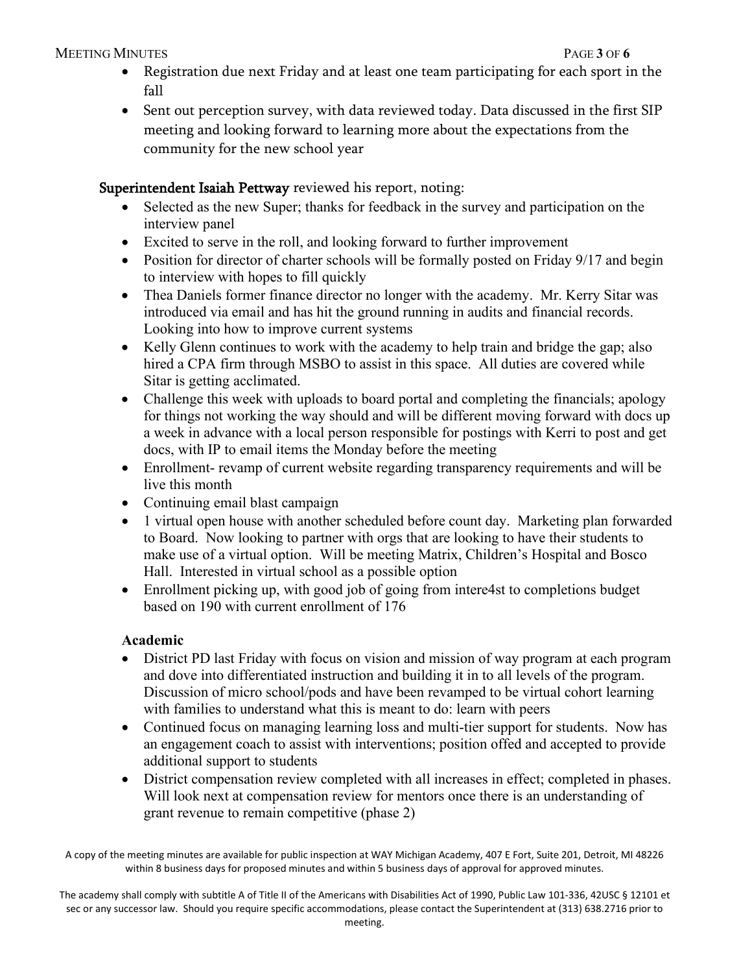- Registration due next Friday and at least one team participating for each sport in the fall
- Sent out perception survey, with data reviewed today. Data discussed in the first SIP meeting and looking forward to learning more about the expectations from the community for the new school year

## Superintendent Isaiah Pettway reviewed his report, noting:

- Selected as the new Super; thanks for feedback in the survey and participation on the interview panel
- Excited to serve in the roll, and looking forward to further improvement
- Position for director of charter schools will be formally posted on Friday 9/17 and begin to interview with hopes to fill quickly
- Thea Daniels former finance director no longer with the academy. Mr. Kerry Sitar was introduced via email and has hit the ground running in audits and financial records. Looking into how to improve current systems
- Kelly Glenn continues to work with the academy to help train and bridge the gap; also hired a CPA firm through MSBO to assist in this space. All duties are covered while Sitar is getting acclimated.
- Challenge this week with uploads to board portal and completing the financials; apology for things not working the way should and will be different moving forward with docs up a week in advance with a local person responsible for postings with Kerri to post and get docs, with IP to email items the Monday before the meeting
- Enrollment- revamp of current website regarding transparency requirements and will be live this month
- Continuing email blast campaign
- 1 virtual open house with another scheduled before count day. Marketing plan forwarded to Board. Now looking to partner with orgs that are looking to have their students to make use of a virtual option. Will be meeting Matrix, Children's Hospital and Bosco Hall. Interested in virtual school as a possible option
- Enrollment picking up, with good job of going from intere4st to completions budget based on 190 with current enrollment of 176

## **Academic**

- District PD last Friday with focus on vision and mission of way program at each program and dove into differentiated instruction and building it in to all levels of the program. Discussion of micro school/pods and have been revamped to be virtual cohort learning with families to understand what this is meant to do: learn with peers
- Continued focus on managing learning loss and multi-tier support for students. Now has an engagement coach to assist with interventions; position offed and accepted to provide additional support to students
- District compensation review completed with all increases in effect; completed in phases. Will look next at compensation review for mentors once there is an understanding of grant revenue to remain competitive (phase 2)

A copy of the meeting minutes are available for public inspection at WAY Michigan Academy, 407 E Fort, Suite 201, Detroit, MI 48226 within 8 business days for proposed minutes and within 5 business days of approval for approved minutes.

The academy shall comply with subtitle A of Title II of the Americans with Disabilities Act of 1990, Public Law 101-336, 42USC § 12101 et sec or any successor law. Should you require specific accommodations, please contact the Superintendent at (313) 638.2716 prior to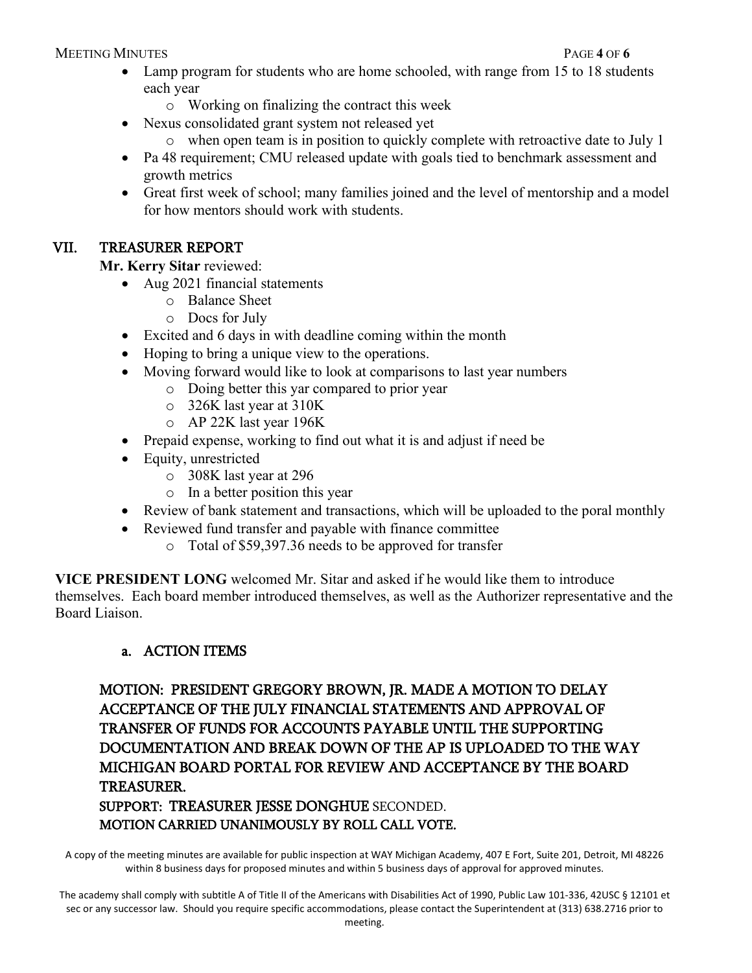## **MEETING MINUTES** PAGE 4 OF **6**

- Lamp program for students who are home schooled, with range from 15 to 18 students each year
	- o Working on finalizing the contract this week
- Nexus consolidated grant system not released yet
	- o when open team is in position to quickly complete with retroactive date to July 1
- Pa 48 requirement; CMU released update with goals tied to benchmark assessment and growth metrics
- Great first week of school; many families joined and the level of mentorship and a model for how mentors should work with students.

## VII. TREASURER REPORT

**Mr. Kerry Sitar** reviewed:

- Aug 2021 financial statements
	- o Balance Sheet
	- o Docs for July
- Excited and 6 days in with deadline coming within the month
- Hoping to bring a unique view to the operations.
- Moving forward would like to look at comparisons to last year numbers
	- o Doing better this yar compared to prior year
	- o 326K last year at 310K
	- o AP 22K last year 196K
- Prepaid expense, working to find out what it is and adjust if need be
- Equity, unrestricted
	- o 308K last year at 296
	- o In a better position this year
- Review of bank statement and transactions, which will be uploaded to the poral monthly
- Reviewed fund transfer and payable with finance committee
	- o Total of \$59,397.36 needs to be approved for transfer

**VICE PRESIDENT LONG** welcomed Mr. Sitar and asked if he would like them to introduce themselves. Each board member introduced themselves, as well as the Authorizer representative and the Board Liaison.

# a. ACTION ITEMS

MOTION: PRESIDENT GREGORY BROWN, JR. MADE A MOTION TO DELAY ACCEPTANCE OF THE JULY FINANCIAL STATEMENTS AND APPROVAL OF TRANSFER OF FUNDS FOR ACCOUNTS PAYABLE UNTIL THE SUPPORTING DOCUMENTATION AND BREAK DOWN OF THE AP IS UPLOADED TO THE WAY MICHIGAN BOARD PORTAL FOR REVIEW AND ACCEPTANCE BY THE BOARD TREASURER.

SUPPORT: TREASURER JESSE DONGHUE SECONDED. MOTION CARRIED UNANIMOUSLY BY ROLL CALL VOTE.

A copy of the meeting minutes are available for public inspection at WAY Michigan Academy, 407 E Fort, Suite 201, Detroit, MI 48226 within 8 business days for proposed minutes and within 5 business days of approval for approved minutes.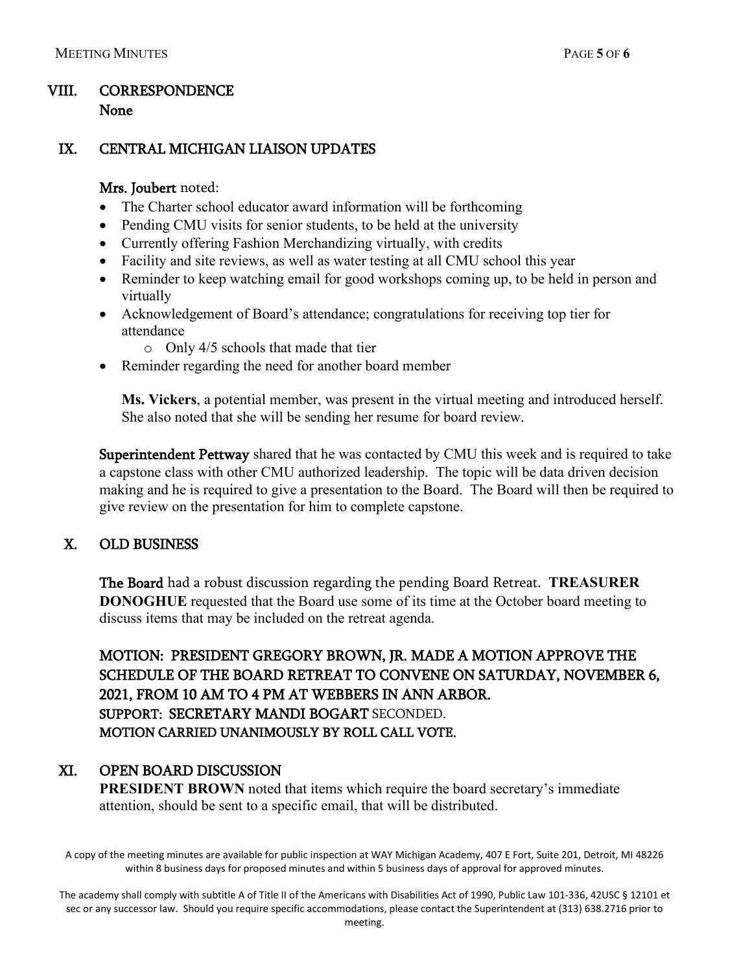# VIII. CORRESPONDENCE None

## IX. CENTRAL MICHIGAN LIAISON UPDATES

## Mrs. Joubert noted:

- The Charter school educator award information will be forthcoming
- Pending CMU visits for senior students, to be held at the university
- Currently offering Fashion Merchandizing virtually, with credits
- Facility and site reviews, as well as water testing at all CMU school this year
- Reminder to keep watching email for good workshops coming up, to be held in person and virtually
- Acknowledgement of Board's attendance; congratulations for receiving top tier for attendance
	- o Only 4/5 schools that made that tier
- Reminder regarding the need for another board member

**Ms. Vickers**, a potential member, was present in the virtual meeting and introduced herself. She also noted that she will be sending her resume for board review.

Superintendent Pettway shared that he was contacted by CMU this week and is required to take a capstone class with other CMU authorized leadership. The topic will be data driven decision making and he is required to give a presentation to the Board. The Board will then be required to give review on the presentation for him to complete capstone.

# X. OLD BUSINESS

The Board had a robust discussion regarding the pending Board Retreat. **TREASURER DONOGHUE** requested that the Board use some of its time at the October board meeting to discuss items that may be included on the retreat agenda.

# MOTION: PRESIDENT GREGORY BROWN, JR. MADE A MOTION APPROVE THE SCHEDULE OF THE BOARD RETREAT TO CONVENE ON SATURDAY, NOVEMBER 6, 2021, FROM 10 AM TO 4 PM AT WEBBERS IN ANN ARBOR. SUPPORT: SECRETARY MANDI BOGART SECONDED. MOTION CARRIED UNANIMOUSLY BY ROLL CALL VOTE.

## XI. OPEN BOARD DISCUSSION

**PRESIDENT BROWN** noted that items which require the board secretary's immediate attention, should be sent to a specific email, that will be distributed.

A copy of the meeting minutes are available for public inspection at WAY Michigan Academy, 407 E Fort, Suite 201, Detroit, MI 48226 within 8 business days for proposed minutes and within 5 business days of approval for approved minutes.